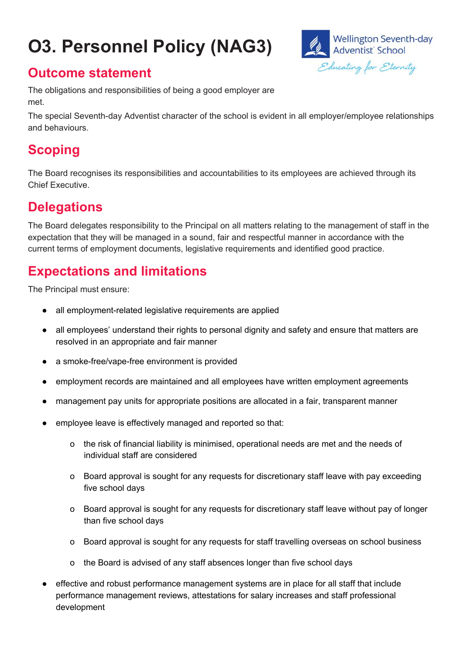# **O3. Personnel Policy (NAG3)**



#### **Outcome statement**

The obligations and responsibilities of being a good employer are met.

The special Seventh-day Adventist character of the school is evident in all employer/employee relationships and behaviours.

# **Scoping**

The Board recognises its responsibilities and accountabilities to its employees are achieved through its Chief Executive.

#### **Delegations**

The Board delegates responsibility to the Principal on all matters relating to the management of staff in the expectation that they will be managed in a sound, fair and respectful manner in accordance with the current terms of employment documents, legislative requirements and identified good practice.

### **Expectations and limitations**

The Principal must ensure:

- all employment-related legislative requirements are applied
- all employees' understand their rights to personal dignity and safety and ensure that matters are resolved in an appropriate and fair manner
- a smoke-free/vape-free environment is provided
- employment records are maintained and all employees have written employment agreements
- management pay units for appropriate positions are allocated in a fair, transparent manner
- employee leave is effectively managed and reported so that:
	- o the risk of financial liability is minimised, operational needs are met and the needs of individual staff are considered
	- o Board approval is sought for any requests for discretionary staff leave with pay exceeding five school days
	- o Board approval is sought for any requests for discretionary staff leave without pay of longer than five school days
	- o Board approval is sought for any requests for staff travelling overseas on school business
	- o the Board is advised of any staff absences longer than five school days
- effective and robust performance management systems are in place for all staff that include performance management reviews, attestations for salary increases and staff professional development